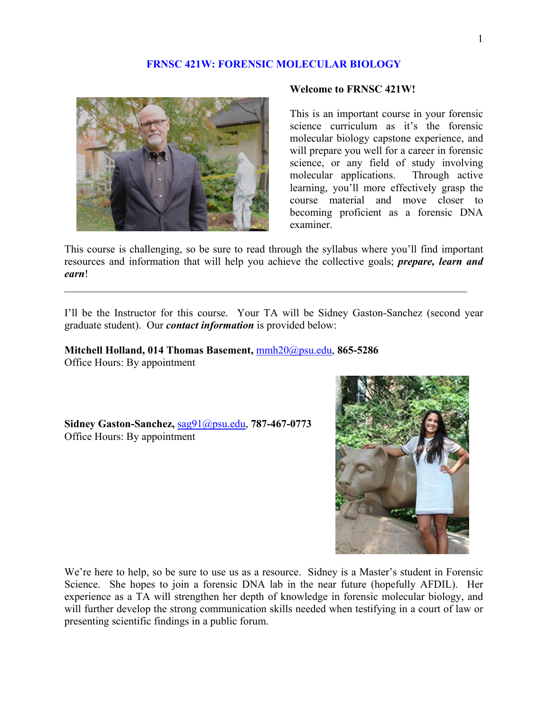## **FRNSC 421W: FORENSIC MOLECULAR BIOLOGY**



#### **Welcome to FRNSC 421W!**

This is an important course in your forensic science curriculum as it's the forensic molecular biology capstone experience, and will prepare you well for a career in forensic science, or any field of study involving molecular applications. Through active learning, you'll more effectively grasp the course material and move closer to becoming proficient as a forensic DNA examiner.

This course is challenging, so be sure to read through the syllabus where you'll find important resources and information that will help you achieve the collective goals; *prepare, learn and earn*!

 $\mathcal{L}_\text{max} = \frac{1}{2} \sum_{i=1}^n \mathcal{L}_\text{max}(\mathbf{z}_i - \mathbf{z}_i)$ 

I'll be the Instructor for this course. Your TA will be Sidney Gaston-Sanchez (second year graduate student). Our *contact information* is provided below:

**Mitchell Holland, 014 Thomas Basement,** mmh20@psu.edu, **865-5286**  Office Hours: By appointment

**Sidney Gaston-Sanchez,** sag91@psu.edu, **787-467-0773** Office Hours: By appointment



We're here to help, so be sure to use us as a resource. Sidney is a Master's student in Forensic Science. She hopes to join a forensic DNA lab in the near future (hopefully AFDIL). Her experience as a TA will strengthen her depth of knowledge in forensic molecular biology, and will further develop the strong communication skills needed when testifying in a court of law or presenting scientific findings in a public forum.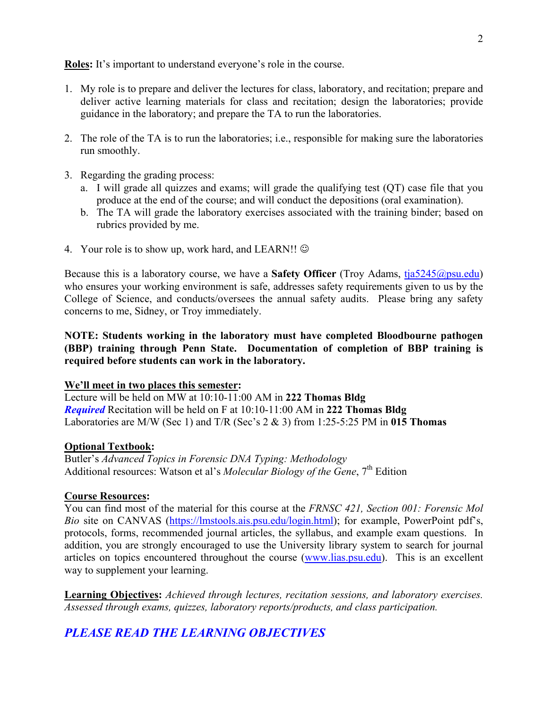**Roles:** It's important to understand everyone's role in the course.

- 1. My role is to prepare and deliver the lectures for class, laboratory, and recitation; prepare and deliver active learning materials for class and recitation; design the laboratories; provide guidance in the laboratory; and prepare the TA to run the laboratories.
- 2. The role of the TA is to run the laboratories; i.e., responsible for making sure the laboratories run smoothly.
- 3. Regarding the grading process:
	- a. I will grade all quizzes and exams; will grade the qualifying test (QT) case file that you produce at the end of the course; and will conduct the depositions (oral examination).
	- b. The TA will grade the laboratory exercises associated with the training binder; based on rubrics provided by me.
- 4. Your role is to show up, work hard, and LEARN!!  $\odot$

Because this is a laboratory course, we have a **Safety Officer** (Troy Adams,  $\frac{t}{1a}5245@psu.edu$ ) who ensures your working environment is safe, addresses safety requirements given to us by the College of Science, and conducts/oversees the annual safety audits. Please bring any safety concerns to me, Sidney, or Troy immediately.

**NOTE: Students working in the laboratory must have completed Bloodbourne pathogen (BBP) training through Penn State. Documentation of completion of BBP training is required before students can work in the laboratory.**

#### **We'll meet in two places this semester:**

Lecture will be held on MW at 10:10-11:00 AM in **222 Thomas Bldg** *Required* Recitation will be held on F at 10:10-11:00 AM in **222 Thomas Bldg** Laboratories are M/W (Sec 1) and T/R (Sec's 2 & 3) from 1:25-5:25 PM in **015 Thomas**

#### **Optional Textbook:**

Butler's *Advanced Topics in Forensic DNA Typing: Methodology* Additional resources: Watson et al's *Molecular Biology of the Gene*, 7<sup>th</sup> Edition

### **Course Resources:**

You can find most of the material for this course at the *FRNSC 421, Section 001: Forensic Mol Bio* site on CANVAS (https://lmstools.ais.psu.edu/login.html); for example, PowerPoint pdf's, protocols, forms, recommended journal articles, the syllabus, and example exam questions. In addition, you are strongly encouraged to use the University library system to search for journal articles on topics encountered throughout the course (www.lias.psu.edu). This is an excellent way to supplement your learning.

**Learning Objectives:** *Achieved through lectures, recitation sessions, and laboratory exercises. Assessed through exams, quizzes, laboratory reports/products, and class participation.*

# *PLEASE READ THE LEARNING OBJECTIVES*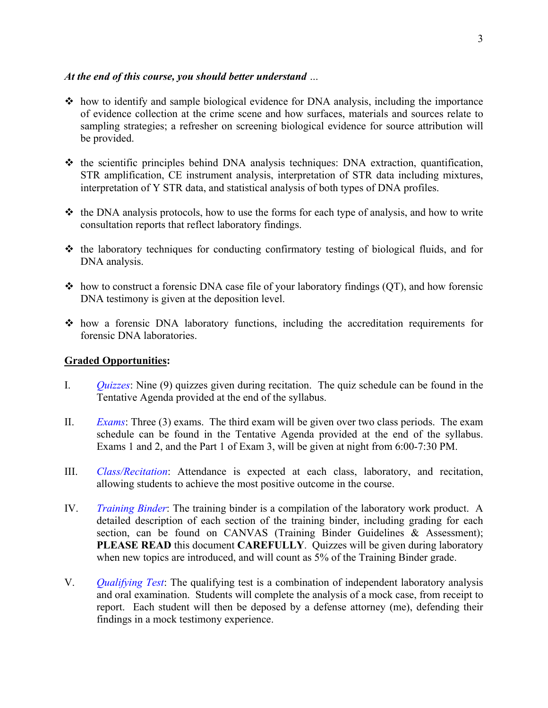## *At the end of this course, you should better understand …*

- $\cdot$  how to identify and sample biological evidence for DNA analysis, including the importance of evidence collection at the crime scene and how surfaces, materials and sources relate to sampling strategies; a refresher on screening biological evidence for source attribution will be provided.
- $\div$  the scientific principles behind DNA analysis techniques: DNA extraction, quantification, STR amplification, CE instrument analysis, interpretation of STR data including mixtures, interpretation of Y STR data, and statistical analysis of both types of DNA profiles.
- $\triangleleft$  the DNA analysis protocols, how to use the forms for each type of analysis, and how to write consultation reports that reflect laboratory findings.
- $\div$  the laboratory techniques for conducting confirmatory testing of biological fluids, and for DNA analysis.
- $\triangle$  how to construct a forensic DNA case file of your laboratory findings (OT), and how forensic DNA testimony is given at the deposition level.
- how a forensic DNA laboratory functions, including the accreditation requirements for forensic DNA laboratories.

## **Graded Opportunities:**

- I. *Quizzes*: Nine (9) quizzes given during recitation. The quiz schedule can be found in the Tentative Agenda provided at the end of the syllabus.
- II. *Exams*: Three (3) exams. The third exam will be given over two class periods. The exam schedule can be found in the Tentative Agenda provided at the end of the syllabus. Exams 1 and 2, and the Part 1 of Exam 3, will be given at night from 6:00-7:30 PM.
- III. *Class/Recitation*: Attendance is expected at each class, laboratory, and recitation, allowing students to achieve the most positive outcome in the course.
- IV. *Training Binder*: The training binder is a compilation of the laboratory work product. A detailed description of each section of the training binder, including grading for each section, can be found on CANVAS (Training Binder Guidelines & Assessment); **PLEASE READ** this document **CAREFULLY**. Quizzes will be given during laboratory when new topics are introduced, and will count as 5% of the Training Binder grade.
- V. *Qualifying Test*: The qualifying test is a combination of independent laboratory analysis and oral examination. Students will complete the analysis of a mock case, from receipt to report. Each student will then be deposed by a defense attorney (me), defending their findings in a mock testimony experience.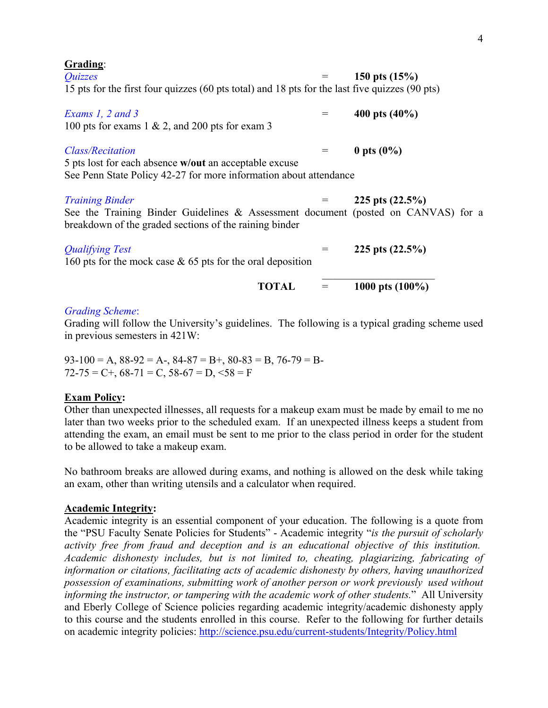| ٠ |  |
|---|--|
| ٠ |  |

| Grading:                                                                                                                                    |     |                    |
|---------------------------------------------------------------------------------------------------------------------------------------------|-----|--------------------|
| Quizzes                                                                                                                                     |     | 150 pts $(15%)$    |
| 15 pts for the first four quizzes (60 pts total) and 18 pts for the last five quizzes (90 pts)                                              |     |                    |
| Exams 1, 2 and 3                                                                                                                            | $=$ | 400 pts $(40\%)$   |
| 100 pts for exams 1 $\&$ 2, and 200 pts for exam 3                                                                                          |     |                    |
| <b>Class/Recitation</b>                                                                                                                     | $=$ | 0 pts $(0\%)$      |
| 5 pts lost for each absence w/out an acceptable excuse<br>See Penn State Policy 42-27 for more information about attendance                 |     |                    |
|                                                                                                                                             |     |                    |
| <b>Training Binder</b>                                                                                                                      |     | 225 pts $(22.5\%)$ |
| See the Training Binder Guidelines & Assessment document (posted on CANVAS) for a<br>breakdown of the graded sections of the raining binder |     |                    |
| <b>Qualifying Test</b>                                                                                                                      |     | 225 pts $(22.5\%)$ |
| 160 pts for the mock case $\&$ 65 pts for the oral deposition                                                                               |     |                    |
| <b>TOTAL</b>                                                                                                                                |     | 1000 pts $(100\%)$ |
| <b>Grading Scheme:</b>                                                                                                                      |     |                    |

Grading will follow the University's guidelines. The following is a typical grading scheme used in previous semesters in 421W:

 $93-100 = A$ ,  $88-92 = A$ -,  $84-87 = B$ +,  $80-83 = B$ ,  $76-79 = B$ - $72-75 = C +$ ,  $68-71 = C$ ,  $58-67 = D$ ,  $58 = F$ 

#### **Exam Policy:**

Other than unexpected illnesses, all requests for a makeup exam must be made by email to me no later than two weeks prior to the scheduled exam. If an unexpected illness keeps a student from attending the exam, an email must be sent to me prior to the class period in order for the student to be allowed to take a makeup exam.

No bathroom breaks are allowed during exams, and nothing is allowed on the desk while taking an exam, other than writing utensils and a calculator when required.

## **Academic Integrity:**

Academic integrity is an essential component of your education. The following is a quote from the "PSU Faculty Senate Policies for Students" - Academic integrity "*is the pursuit of scholarly activity free from fraud and deception and is an educational objective of this institution. Academic dishonesty includes, but is not limited to, cheating, plagiarizing, fabricating of information or citations, facilitating acts of academic dishonesty by others, having unauthorized possession of examinations, submitting work of another person or work previously used without informing the instructor, or tampering with the academic work of other students.*" All University and Eberly College of Science policies regarding academic integrity/academic dishonesty apply to this course and the students enrolled in this course. Refer to the following for further details on academic integrity policies: http://science.psu.edu/current-students/Integrity/Policy.html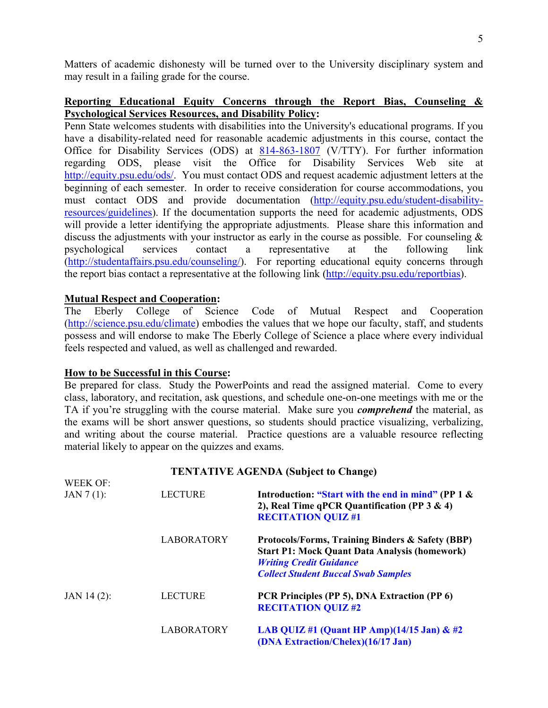Matters of academic dishonesty will be turned over to the University disciplinary system and may result in a failing grade for the course.

## **Reporting Educational Equity Concerns through the Report Bias, Counseling & Psychological Services Resources, and Disability Policy:**

Penn State welcomes students with disabilities into the University's educational programs. If you have a disability-related need for reasonable academic adjustments in this course, contact the Office for Disability Services (ODS) at 814-863-1807 (V/TTY). For further information regarding ODS, please visit the Office for Disability Services Web site http://equity.psu.edu/ods/. You must contact ODS and request academic adjustment letters at the beginning of each semester. In order to receive consideration for course accommodations, you must contact ODS and provide documentation (http://equity.psu.edu/student-disabilityresources/guidelines). If the documentation supports the need for academic adjustments, ODS will provide a letter identifying the appropriate adjustments. Please share this information and discuss the adjustments with your instructor as early in the course as possible. For counseling & psychological services contact a representative at the following link (http://studentaffairs.psu.edu/counseling/). For reporting educational equity concerns through the report bias contact a representative at the following link (http://equity.psu.edu/reportbias).

## **Mutual Respect and Cooperation:**

The Eberly College of Science Code of Mutual Respect and Cooperation (http://science.psu.edu/climate) embodies the values that we hope our faculty, staff, and students possess and will endorse to make The Eberly College of Science a place where every individual feels respected and valued, as well as challenged and rewarded.

#### **How to be Successful in this Course:**

Be prepared for class. Study the PowerPoints and read the assigned material. Come to every class, laboratory, and recitation, ask questions, and schedule one-on-one meetings with me or the TA if you're struggling with the course material. Make sure you *comprehend* the material, as the exams will be short answer questions, so students should practice visualizing, verbalizing, and writing about the course material. Practice questions are a valuable resource reflecting material likely to appear on the quizzes and exams.

#### **TENTATIVE AGENDA (Subject to Change)**

| WEEK OF:      |                   |                                                                                                                                                                                          |
|---------------|-------------------|------------------------------------------------------------------------------------------------------------------------------------------------------------------------------------------|
| $JAN 7(1)$ :  | <b>LECTURE</b>    | Introduction: "Start with the end in mind" (PP 1 &<br>2), Real Time qPCR Quantification (PP $3 \& 4$ )<br><b>RECITATION QUIZ#1</b>                                                       |
|               | <b>LABORATORY</b> | Protocols/Forms, Training Binders & Safety (BBP)<br><b>Start P1: Mock Quant Data Analysis (homework)</b><br><b>Writing Credit Guidance</b><br><b>Collect Student Buccal Swab Samples</b> |
| $JAN$ 14 (2): | <b>LECTURE</b>    | PCR Principles (PP 5), DNA Extraction (PP 6)<br><b>RECITATION QUIZ#2</b>                                                                                                                 |
|               | <b>LABORATORY</b> | LAB QUIZ #1 (Quant HP Amp) $(14/15 \text{ Jan}) \& \#2$<br>(DNA Extraction/Chelex)(16/17 Jan)                                                                                            |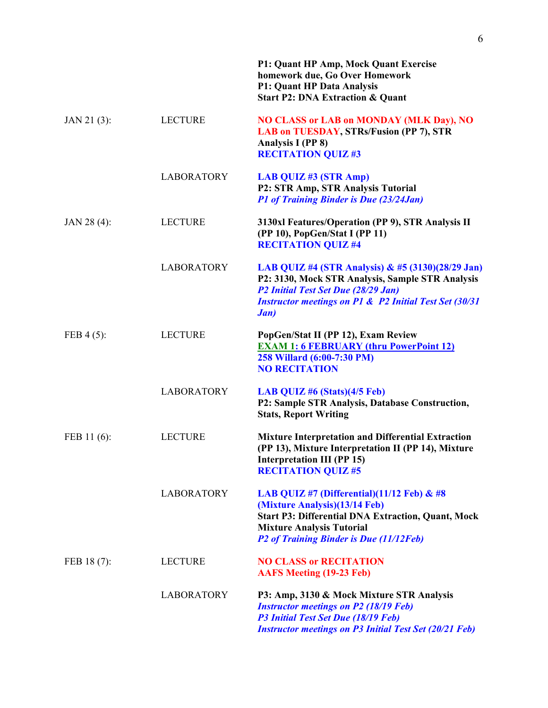|                |                   | <b>P1: Quant HP Amp, Mock Quant Exercise</b><br>homework due, Go Over Homework<br><b>P1: Quant HP Data Analysis</b><br><b>Start P2: DNA Extraction &amp; Quant</b>                                                         |
|----------------|-------------------|----------------------------------------------------------------------------------------------------------------------------------------------------------------------------------------------------------------------------|
| $JAN 21 (3)$ : | <b>LECTURE</b>    | <b>NO CLASS or LAB on MONDAY (MLK Day), NO</b><br>LAB on TUESDAY, STRs/Fusion (PP 7), STR<br>Analysis I (PP 8)<br><b>RECITATION QUIZ#3</b>                                                                                 |
|                | <b>LABORATORY</b> | LAB QUIZ#3 (STR Amp)<br>P2: STR Amp, STR Analysis Tutorial<br>P1 of Training Binder is Due (23/24Jan)                                                                                                                      |
| JAN 28 (4):    | <b>LECTURE</b>    | 3130xl Features/Operation (PP 9), STR Analysis II<br>(PP 10), PopGen/Stat I (PP 11)<br><b>RECITATION QUIZ #4</b>                                                                                                           |
|                | <b>LABORATORY</b> | LAB QUIZ #4 (STR Analysis) & #5 (3130)(28/29 Jan)<br>P2: 3130, Mock STR Analysis, Sample STR Analysis<br>P2 Initial Test Set Due (28/29 Jan)<br><b>Instructor meetings on P1 &amp; P2 Initial Test Set (30/31)</b><br>Jan) |
| FEB $4(5)$ :   | <b>LECTURE</b>    | PopGen/Stat II (PP 12), Exam Review<br><b>EXAM 1: 6 FEBRUARY (thru PowerPoint 12)</b><br>258 Willard (6:00-7:30 PM)<br><b>NO RECITATION</b>                                                                                |
|                | <b>LABORATORY</b> | LAB QUIZ #6 $(Stats)(4/5 Feb)$<br>P2: Sample STR Analysis, Database Construction,<br><b>Stats, Report Writing</b>                                                                                                          |
| FEB 11 (6):    | <b>LECTURE</b>    | <b>Mixture Interpretation and Differential Extraction</b><br>(PP 13), Mixture Interpretation II (PP 14), Mixture<br><b>Interpretation III (PP 15)</b><br><b>RECITATION QUIZ #5</b>                                         |
|                | <b>LABORATORY</b> | LAB QUIZ #7 (Differential) $(11/12$ Feb) & #8<br>(Mixture Analysis)(13/14 Feb)<br><b>Start P3: Differential DNA Extraction, Quant, Mock</b><br><b>Mixture Analysis Tutorial</b><br>P2 of Training Binder is Due (11/12Feb) |
| FEB 18 (7):    | <b>LECTURE</b>    | <b>NO CLASS or RECITATION</b><br><b>AAFS Meeting (19-23 Feb)</b>                                                                                                                                                           |
|                | <b>LABORATORY</b> | P3: Amp, 3130 & Mock Mixture STR Analysis<br><b>Instructor meetings on P2 (18/19 Feb)</b><br>P3 Initial Test Set Due (18/19 Feb)<br><b>Instructor meetings on P3 Initial Test Set (20/21 Feb)</b>                          |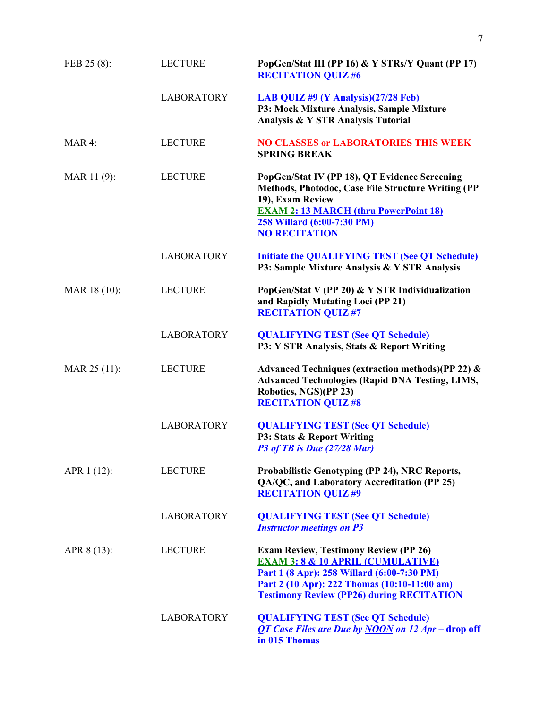| FEB 25 (8):  | <b>LECTURE</b>    | PopGen/Stat III (PP 16) & Y STRs/Y Quant (PP 17)<br><b>RECITATION QUIZ #6</b>                                                                                                                                                                  |
|--------------|-------------------|------------------------------------------------------------------------------------------------------------------------------------------------------------------------------------------------------------------------------------------------|
|              | <b>LABORATORY</b> | LAB QUIZ #9 (Y Analysis)(27/28 Feb)<br>P3: Mock Mixture Analysis, Sample Mixture<br>Analysis & Y STR Analysis Tutorial                                                                                                                         |
| MAR 4:       | <b>LECTURE</b>    | <b>NO CLASSES or LABORATORIES THIS WEEK</b><br><b>SPRING BREAK</b>                                                                                                                                                                             |
| MAR 11(9):   | <b>LECTURE</b>    | PopGen/Stat IV (PP 18), QT Evidence Screening<br>Methods, Photodoc, Case File Structure Writing (PP<br>19), Exam Review<br><b>EXAM 2: 13 MARCH (thru PowerPoint 18)</b><br>258 Willard (6:00-7:30 PM)<br><b>NO RECITATION</b>                  |
|              | <b>LABORATORY</b> | <b>Initiate the QUALIFYING TEST (See QT Schedule)</b><br>P3: Sample Mixture Analysis & Y STR Analysis                                                                                                                                          |
| MAR 18 (10): | <b>LECTURE</b>    | PopGen/Stat V (PP 20) & Y STR Individualization<br>and Rapidly Mutating Loci (PP 21)<br><b>RECITATION QUIZ #7</b>                                                                                                                              |
|              | <b>LABORATORY</b> | <b>QUALIFYING TEST (See QT Schedule)</b><br>P3: Y STR Analysis, Stats & Report Writing                                                                                                                                                         |
| MAR 25 (11): | <b>LECTURE</b>    | Advanced Techniques (extraction methods)(PP 22) &<br><b>Advanced Technologies (Rapid DNA Testing, LIMS,</b><br>Robotics, NGS)(PP 23)<br><b>RECITATION QUIZ #8</b>                                                                              |
|              | <b>LABORATORY</b> | <b>QUALIFYING TEST (See QT Schedule)</b><br>P3: Stats & Report Writing<br>P3 of TB is Due (27/28 Mar)                                                                                                                                          |
| APR 1 (12):  | <b>LECTURE</b>    | Probabilistic Genotyping (PP 24), NRC Reports,<br>QA/QC, and Laboratory Accreditation (PP 25)<br><b>RECITATION QUIZ #9</b>                                                                                                                     |
|              | <b>LABORATORY</b> | <b>QUALIFYING TEST (See QT Schedule)</b><br><b>Instructor meetings on P3</b>                                                                                                                                                                   |
| APR 8 (13):  | <b>LECTURE</b>    | <b>Exam Review, Testimony Review (PP 26)</b><br><b>EXAM 3: 8 &amp; 10 APRIL (CUMULATIVE)</b><br>Part 1 (8 Apr): 258 Willard (6:00-7:30 PM)<br>Part 2 (10 Apr): 222 Thomas (10:10-11:00 am)<br><b>Testimony Review (PP26) during RECITATION</b> |
|              | <b>LABORATORY</b> | <b>QUALIFYING TEST (See QT Schedule)</b><br>QT Case Files are Due by NOON on 12 Apr – drop off<br>in 015 Thomas                                                                                                                                |